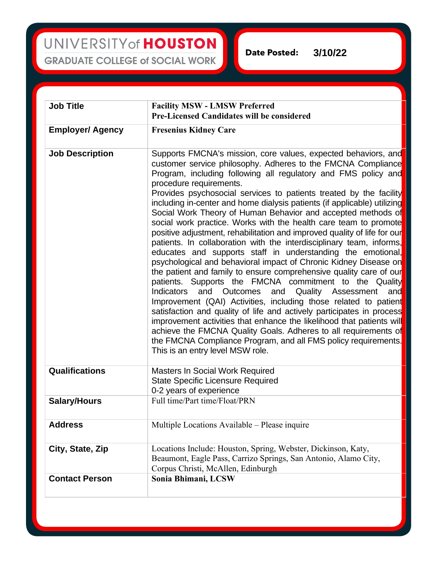UNIVERSITY of HOUSTON **GRADUATE COLLEGE of SOCIAL WORK** 

**Date Posted: 3/10/22**

| <b>Job Title</b>        | <b>Facility MSW - LMSW Preferred</b><br><b>Pre-Licensed Candidates will be considered</b>                                                                                                                                                                                                                                                                                                                                                                                                                                                                                                                                                                                                                                                                                                                                                                                                                                                                                                                                                                                                                                                                                                                                                                                                                                                                                                                                     |
|-------------------------|-------------------------------------------------------------------------------------------------------------------------------------------------------------------------------------------------------------------------------------------------------------------------------------------------------------------------------------------------------------------------------------------------------------------------------------------------------------------------------------------------------------------------------------------------------------------------------------------------------------------------------------------------------------------------------------------------------------------------------------------------------------------------------------------------------------------------------------------------------------------------------------------------------------------------------------------------------------------------------------------------------------------------------------------------------------------------------------------------------------------------------------------------------------------------------------------------------------------------------------------------------------------------------------------------------------------------------------------------------------------------------------------------------------------------------|
| <b>Employer/ Agency</b> | <b>Fresenius Kidney Care</b>                                                                                                                                                                                                                                                                                                                                                                                                                                                                                                                                                                                                                                                                                                                                                                                                                                                                                                                                                                                                                                                                                                                                                                                                                                                                                                                                                                                                  |
| <b>Job Description</b>  | Supports FMCNA's mission, core values, expected behaviors, and<br>customer service philosophy. Adheres to the FMCNA Compliance<br>Program, including following all regulatory and FMS policy and<br>procedure requirements.<br>Provides psychosocial services to patients treated by the facility<br>including in-center and home dialysis patients (if applicable) utilizing<br>Social Work Theory of Human Behavior and accepted methods of<br>social work practice. Works with the health care team to promote<br>positive adjustment, rehabilitation and improved quality of life for our<br>patients. In collaboration with the interdisciplinary team, informs,<br>educates and supports staff in understanding the emotional,<br>psychological and behavioral impact of Chronic Kidney Disease on<br>the patient and family to ensure comprehensive quality care of our<br>patients. Supports the FMCNA commitment to the Quality<br>and<br><b>Outcomes</b><br>Quality<br><b>Indicators</b><br>and<br>Assessment<br>and<br>Improvement (QAI) Activities, including those related to patient<br>satisfaction and quality of life and actively participates in process<br>improvement activities that enhance the likelihood that patients will<br>achieve the FMCNA Quality Goals. Adheres to all requirements of<br>the FMCNA Compliance Program, and all FMS policy requirements.<br>This is an entry level MSW role. |
| Qualifications          | <b>Masters In Social Work Required</b><br><b>State Specific Licensure Required</b><br>0-2 years of experience                                                                                                                                                                                                                                                                                                                                                                                                                                                                                                                                                                                                                                                                                                                                                                                                                                                                                                                                                                                                                                                                                                                                                                                                                                                                                                                 |
| <b>Salary/Hours</b>     | Full time/Part time/Float/PRN                                                                                                                                                                                                                                                                                                                                                                                                                                                                                                                                                                                                                                                                                                                                                                                                                                                                                                                                                                                                                                                                                                                                                                                                                                                                                                                                                                                                 |
| <b>Address</b>          | Multiple Locations Available – Please inquire                                                                                                                                                                                                                                                                                                                                                                                                                                                                                                                                                                                                                                                                                                                                                                                                                                                                                                                                                                                                                                                                                                                                                                                                                                                                                                                                                                                 |
| City, State, Zip        | Locations Include: Houston, Spring, Webster, Dickinson, Katy,<br>Beaumont, Eagle Pass, Carrizo Springs, San Antonio, Alamo City,<br>Corpus Christi, McAllen, Edinburgh                                                                                                                                                                                                                                                                                                                                                                                                                                                                                                                                                                                                                                                                                                                                                                                                                                                                                                                                                                                                                                                                                                                                                                                                                                                        |
| <b>Contact Person</b>   | Sonia Bhimani, LCSW                                                                                                                                                                                                                                                                                                                                                                                                                                                                                                                                                                                                                                                                                                                                                                                                                                                                                                                                                                                                                                                                                                                                                                                                                                                                                                                                                                                                           |